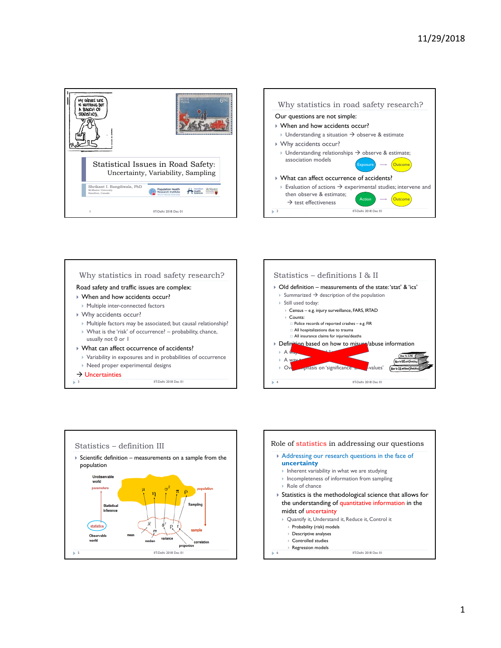







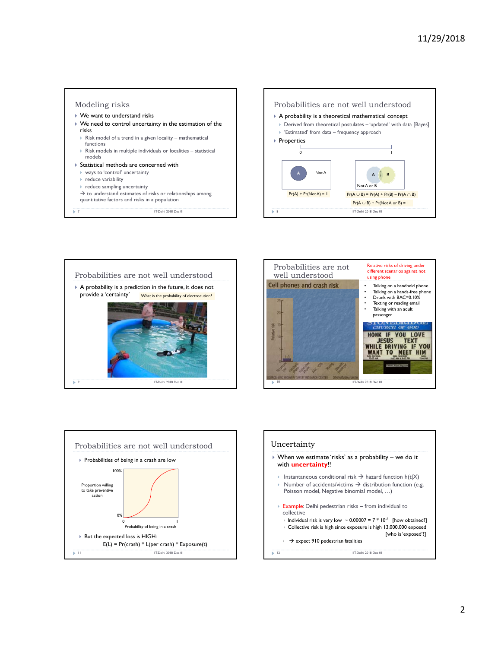







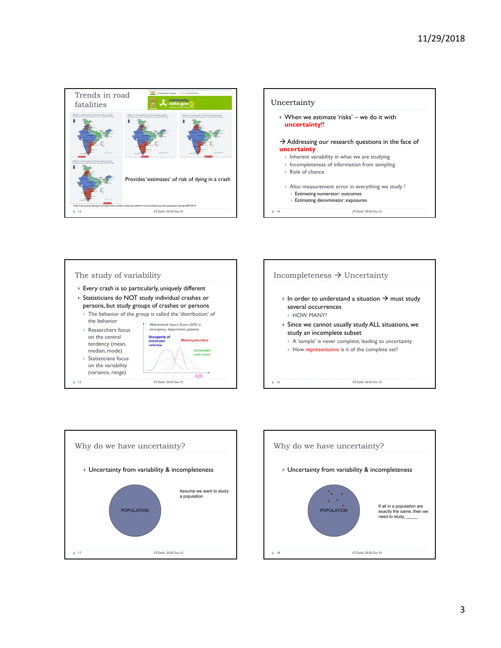









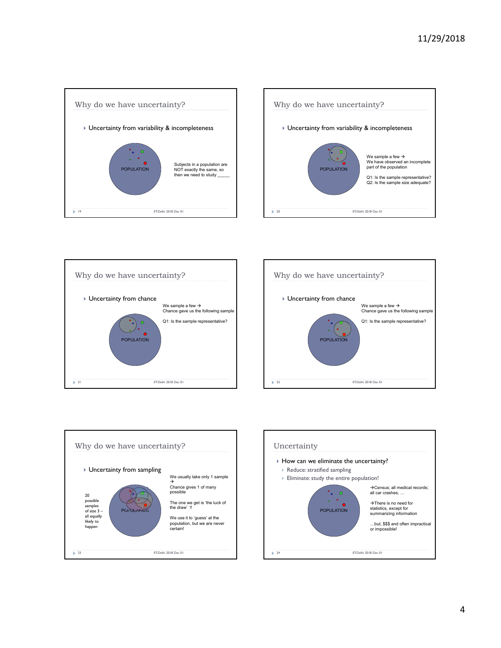









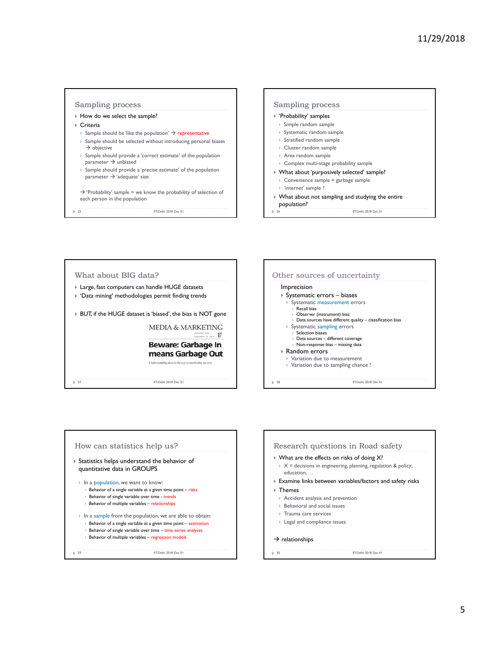